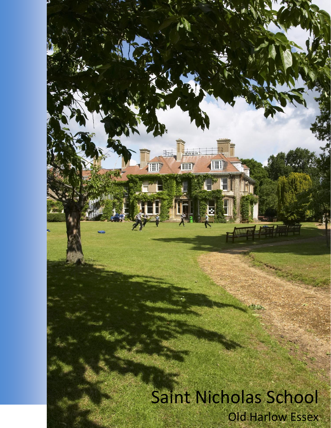# Saint Nicholas School Old Harlow Essex

mania

(TITE)

画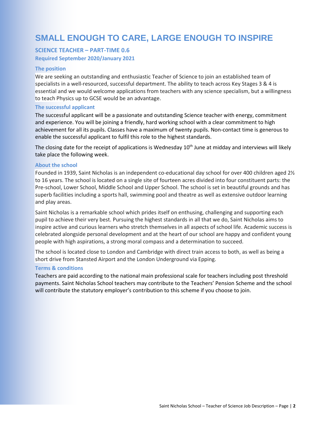# **SMALL ENOUGH TO CARE, LARGE ENOUGH TO INSPIRE**

# **SCIENCE TEACHER – PART-TIME 0.6 Required September 2020/January 2021**

#### **The position**

We are seeking an outstanding and enthusiastic Teacher of Science to join an established team of specialists in a well-resourced, successful department. The ability to teach across Key Stages 3 & 4 is essential and we would welcome applications from teachers with any science specialism, but a willingness to teach Physics up to GCSE would be an advantage.

#### **The successful applicant**

The successful applicant will be a passionate and outstanding Science teacher with energy, commitment and experience. You will be joining a friendly, hard working school with a clear commitment to high achievement for all its pupils. Classes have a maximum of twenty pupils. Non-contact time is generous to enable the successful applicant to fulfil this role to the highest standards.

The closing date for the receipt of applications is Wednesday  $10<sup>th</sup>$  June at midday and interviews will likely take place the following week.

#### **About the school**

Founded in 1939, Saint Nicholas is an independent co-educational day school for over 400 children aged 21/2 to 16 years. The school is located on a single site of fourteen acres divided into four constituent parts: the Pre-school, Lower School, Middle School and Upper School. The school is set in beautiful grounds and has superb facilities including a sports hall, swimming pool and theatre as well as extensive outdoor learning and play areas.

Saint Nicholas is a remarkable school which prides itself on enthusing, challenging and supporting each pupil to achieve their very best. Pursuing the highest standards in all that we do, Saint Nicholas aims to inspire active and curious learners who stretch themselves in all aspects of school life. Academic success is celebrated alongside personal development and at the heart of our school are happy and confident young people with high aspirations, a strong moral compass and a determination to succeed.

The school is located close to London and Cambridge with direct train access to both, as well as being a short drive from Stansted Airport and the London Underground via Epping.

#### **Terms & conditions**

Teachers are paid according to the national main professional scale for teachers including post threshold payments. Saint Nicholas School teachers may contribute to the Teachers' Pension Scheme and the school will contribute the statutory employer's contribution to this scheme if you choose to join.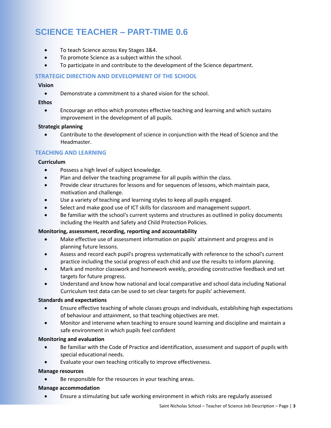# **SCIENCE TEACHER – PART-TIME 0.6**

- To teach Science across Key Stages 3&4.
- To promote Science as a subject within the school.
- To participate in and contribute to the development of the Science department.

# **STRATEGIC DIRECTION AND DEVELOPMENT OF THE SCHOOL**

# **Vision**

Demonstrate a commitment to a shared vision for the school.

# **Ethos**

 Encourage an ethos which promotes effective teaching and learning and which sustains improvement in the development of all pupils.

# **Strategic planning**

 Contribute to the development of science in conjunction with the Head of Science and the Headmaster.

# **TEACHING AND LEARNING**

# **Curriculum**

- Possess a high level of subject knowledge.
- Plan and deliver the teaching programme for all pupils within the class.
- Provide clear structures for lessons and for sequences of lessons, which maintain pace, motivation and challenge.
- Use a variety of teaching and learning styles to keep all pupils engaged.
- Select and make good use of ICT skills for classroom and management support.
- Be familiar with the school's current systems and structures as outlined in policy documents including the Health and Safety and Child Protection Policies.

## **Monitoring, assessment, recording, reporting and accountability**

- Make effective use of assessment information on pupils' attainment and progress and in planning future lessons.
- Assess and record each pupil's progress systematically with reference to the school's current practice including the social progress of each chid and use the results to inform planning.
- Mark and monitor classwork and homework weekly, providing constructive feedback and set targets for future progress.
- Understand and know how national and local comparative and school data including National Curriculum test data can be used to set clear targets for pupils' achievement.

## **Standards and expectations**

- Ensure effective teaching of whole classes groups and individuals, establishing high expectations of behaviour and attainment, so that teaching objectives are met.
- Monitor and intervene when teaching to ensure sound learning and discipline and maintain a safe environment in which pupils feel confident

## **Monitoring and evaluation**

- Be familiar with the Code of Practice and identification, assessment and support of pupils with special educational needs.
- Evaluate your own teaching critically to improve effectiveness.

## **Manage resources**

Be responsible for the resources in your teaching areas.

## **Manage accommodation**

Ensure a stimulating but safe working environment in which risks are regularly assessed